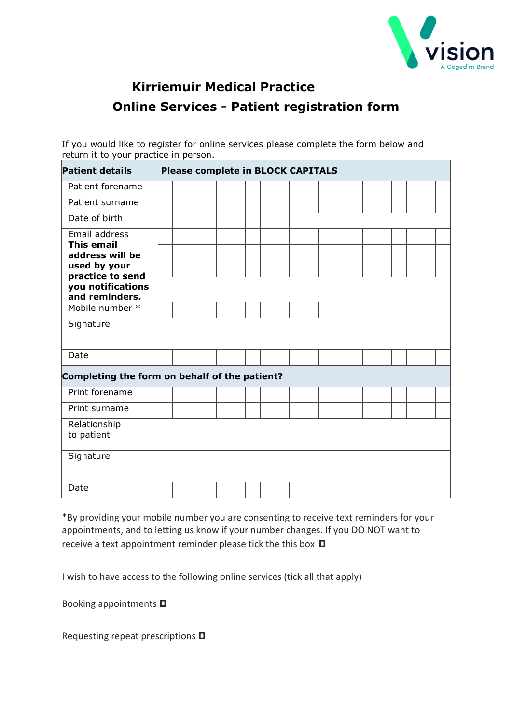

## **Kirriemuir Medical Practice Online Services - Patient registration form**

If you would like to register for online services please complete the form below and return it to your practice in person.

| <b>Patient details</b>                                  | <b>Please complete in BLOCK CAPITALS</b> |  |  |  |  |  |  |  |  |  |  |  |  |  |  |  |  |  |
|---------------------------------------------------------|------------------------------------------|--|--|--|--|--|--|--|--|--|--|--|--|--|--|--|--|--|
| Patient forename                                        |                                          |  |  |  |  |  |  |  |  |  |  |  |  |  |  |  |  |  |
| Patient surname                                         |                                          |  |  |  |  |  |  |  |  |  |  |  |  |  |  |  |  |  |
| Date of birth                                           |                                          |  |  |  |  |  |  |  |  |  |  |  |  |  |  |  |  |  |
| Email address<br><b>This email</b>                      |                                          |  |  |  |  |  |  |  |  |  |  |  |  |  |  |  |  |  |
| address will be                                         |                                          |  |  |  |  |  |  |  |  |  |  |  |  |  |  |  |  |  |
| used by your                                            |                                          |  |  |  |  |  |  |  |  |  |  |  |  |  |  |  |  |  |
| practice to send<br>you notifications<br>and reminders. |                                          |  |  |  |  |  |  |  |  |  |  |  |  |  |  |  |  |  |
| Mobile number *                                         |                                          |  |  |  |  |  |  |  |  |  |  |  |  |  |  |  |  |  |
| Signature                                               |                                          |  |  |  |  |  |  |  |  |  |  |  |  |  |  |  |  |  |
| Date                                                    |                                          |  |  |  |  |  |  |  |  |  |  |  |  |  |  |  |  |  |
| Completing the form on behalf of the patient?           |                                          |  |  |  |  |  |  |  |  |  |  |  |  |  |  |  |  |  |
| Print forename                                          |                                          |  |  |  |  |  |  |  |  |  |  |  |  |  |  |  |  |  |
| Print surname                                           |                                          |  |  |  |  |  |  |  |  |  |  |  |  |  |  |  |  |  |
| Relationship<br>to patient                              |                                          |  |  |  |  |  |  |  |  |  |  |  |  |  |  |  |  |  |
| Signature                                               |                                          |  |  |  |  |  |  |  |  |  |  |  |  |  |  |  |  |  |
| Date                                                    |                                          |  |  |  |  |  |  |  |  |  |  |  |  |  |  |  |  |  |

\*By providing your mobile number you are consenting to receive text reminders for your appointments, and to letting us know if your number changes. If you DO NOT want to receive a text appointment reminder please tick the this box **ם**

I wish to have access to the following online services (tick all that apply)

Booking appointments **ם**

Requesting repeat prescriptions **ם**